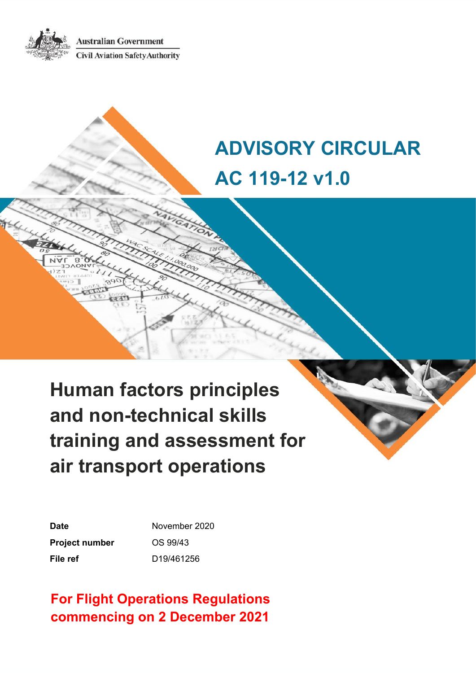**Australian Government Civil Aviation Safety Authority** 

# **ADVISORY CIRCULAR AC 119-12 v1.0**

# **Human factors principles and non-technical skills training and assessment for air transport operations**

| <b>Date</b>           | November 2020           |
|-----------------------|-------------------------|
| <b>Project number</b> | OS 99/43                |
| File ref              | D <sub>19</sub> /461256 |

# **For Flight Operations Regulations commencing on 2 December 2021**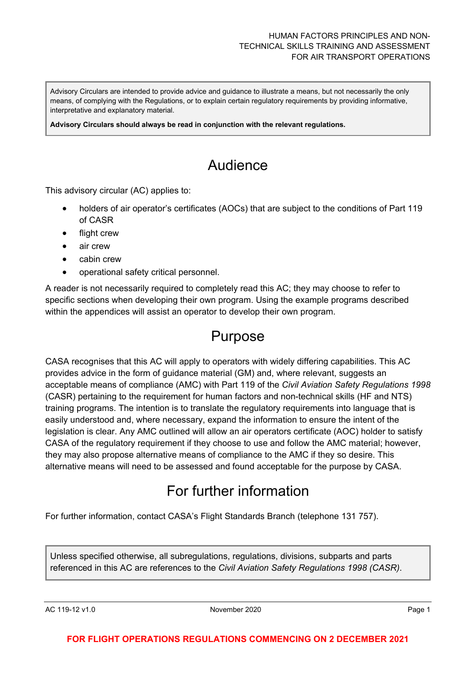Advisory Circulars are intended to provide advice and guidance to illustrate a means, but not necessarily the only means, of complying with the Regulations, or to explain certain regulatory requirements by providing informative, interpretative and explanatory material.

**Advisory Circulars should always be read in conjunction with the relevant regulations.**

# Audience

This advisory circular (AC) applies to:

- holders of air operator's certificates (AOCs) that are subject to the conditions of Part 119 of CASR
- flight crew
- air crew
- cabin crew
- operational safety critical personnel.

A reader is not necessarily required to completely read this AC; they may choose to refer to specific sections when developing their own program. Using the example programs described within the appendices will assist an operator to develop their own program.

# Purpose

CASA recognises that this AC will apply to operators with widely differing capabilities. This AC provides advice in the form of guidance material (GM) and, where relevant, suggests an acceptable means of compliance (AMC) with Part 119 of the *Civil Aviation Safety Regulations 1998* (CASR) pertaining to the requirement for human factors and non-technical skills (HF and NTS) training programs. The intention is to translate the regulatory requirements into language that is easily understood and, where necessary, expand the information to ensure the intent of the legislation is clear. Any AMC outlined will allow an air operators certificate (AOC) holder to satisfy CASA of the regulatory requirement if they choose to use and follow the AMC material; however, they may also propose alternative means of compliance to the AMC if they so desire. This alternative means will need to be assessed and found acceptable for the purpose by CASA.

# For further information

For further information, contact CASA's Flight Standards Branch (telephone 131 757).

Unless specified otherwise, all subregulations, regulations, divisions, subparts and parts referenced in this AC are references to the *Civil Aviation Safety Regulations 1998 (CASR)*.

AC 119-12 v1.0 November 2020 Page 1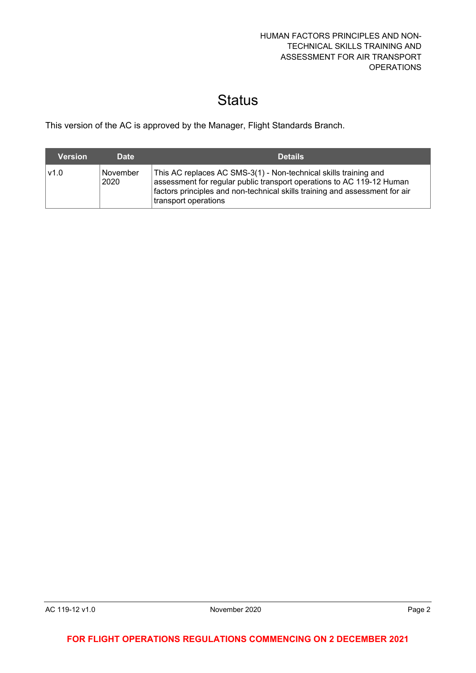# **Status**

This version of the AC is approved by the Manager, Flight Standards Branch.

| <b>Version</b> | <b>Date</b>      | <b>Details</b>                                                                                                                                                                                                                                   |
|----------------|------------------|--------------------------------------------------------------------------------------------------------------------------------------------------------------------------------------------------------------------------------------------------|
| v1.0           | November<br>2020 | This AC replaces AC SMS-3(1) - Non-technical skills training and<br>assessment for regular public transport operations to AC 119-12 Human<br>factors principles and non-technical skills training and assessment for air<br>transport operations |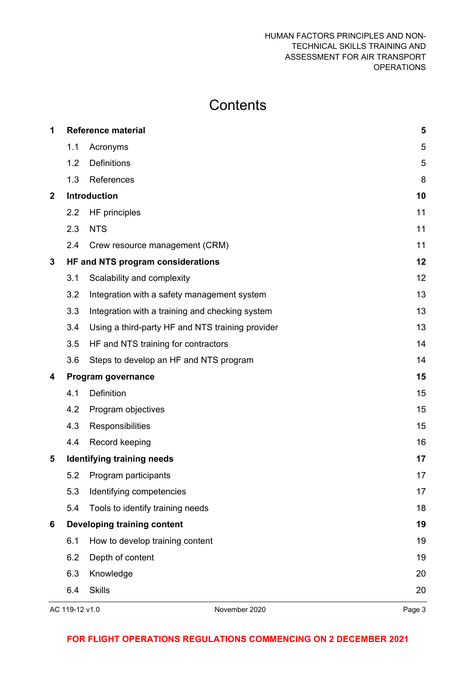# **Contents**

| 1            |                            | <b>Reference material</b>                        | 5      |
|--------------|----------------------------|--------------------------------------------------|--------|
|              | 1.1                        | Acronyms                                         | 5      |
|              | 1.2                        | <b>Definitions</b>                               | 5      |
|              | 1.3                        | References                                       | 8      |
| $\mathbf{2}$ |                            | Introduction                                     | 10     |
|              | 2.2                        | HF principles                                    | 11     |
|              | 2.3                        | <b>NTS</b>                                       | 11     |
|              | 2.4                        | Crew resource management (CRM)                   | 11     |
| 3            |                            | HF and NTS program considerations                | 12     |
|              | 3.1                        | Scalability and complexity                       | 12     |
|              | 3.2                        | Integration with a safety management system      | 13     |
|              | 3.3                        | Integration with a training and checking system  | 13     |
|              | 3.4                        | Using a third-party HF and NTS training provider | 13     |
|              | 3.5                        | HF and NTS training for contractors              | 14     |
|              | 3.6                        | Steps to develop an HF and NTS program           | 14     |
| 4            |                            | Program governance                               | 15     |
|              | 4.1                        | Definition                                       | 15     |
|              | 4.2                        | Program objectives                               | 15     |
|              | 4.3                        | Responsibilities                                 | 15     |
|              | 4.4                        | Record keeping                                   | 16     |
| 5            | Identifying training needs |                                                  | 17     |
|              | 5.2                        | Program participants                             | 17     |
|              | 5.3                        | Identifying competencies                         | 17     |
|              | 5.4                        | Tools to identify training needs                 | 18     |
| 6            |                            | <b>Developing training content</b>               | 19     |
|              | 6.1                        | How to develop training content                  | 19     |
|              | 6.2                        | Depth of content                                 | 19     |
|              | 6.3                        | Knowledge                                        | 20     |
|              | 6.4                        | <b>Skills</b>                                    | 20     |
|              | AC 119-12 v1.0             | November 2020                                    | Page 3 |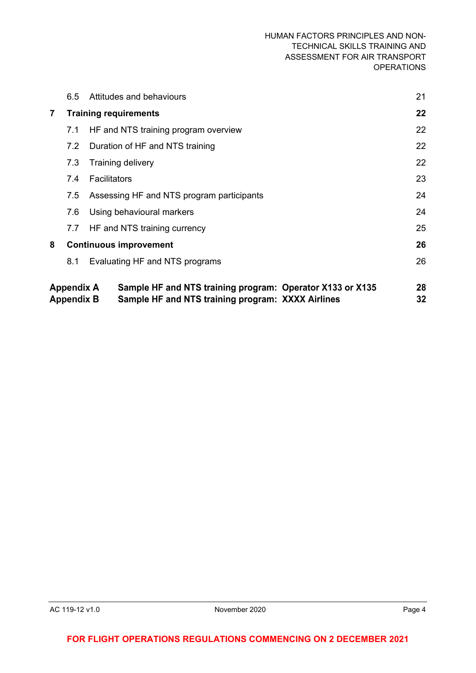|                | 6.5                                    | Attitudes and behaviours                                                                                       | 21       |
|----------------|----------------------------------------|----------------------------------------------------------------------------------------------------------------|----------|
| $\overline{7}$ |                                        | <b>Training requirements</b>                                                                                   | 22       |
|                | 7.1                                    | HF and NTS training program overview                                                                           | 22       |
|                | 7.2                                    | Duration of HF and NTS training                                                                                | 22       |
|                | 7.3                                    | Training delivery                                                                                              | 22       |
|                | 7.4                                    | <b>Facilitators</b>                                                                                            | 23       |
|                | 7.5                                    | Assessing HF and NTS program participants                                                                      | 24       |
|                | 7.6                                    | Using behavioural markers                                                                                      |          |
|                | 7.7                                    | HF and NTS training currency                                                                                   | 25       |
| 8              | <b>Continuous improvement</b>          |                                                                                                                | 26       |
|                | 8.1                                    | Evaluating HF and NTS programs                                                                                 | 26       |
|                | <b>Appendix A</b><br><b>Appendix B</b> | Sample HF and NTS training program: Operator X133 or X135<br>Sample HF and NTS training program: XXXX Airlines | 28<br>32 |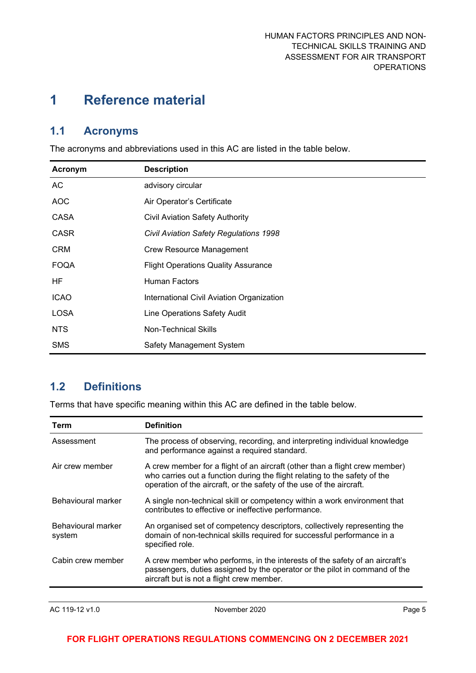## <span id="page-5-0"></span>**1 Reference material**

## <span id="page-5-1"></span>**1.1 Acronyms**

The acronyms and abbreviations used in this AC are listed in the table below.

| Acronym     | <b>Description</b>                         |
|-------------|--------------------------------------------|
| AC          | advisory circular                          |
| <b>AOC</b>  | Air Operator's Certificate                 |
| <b>CASA</b> | <b>Civil Aviation Safety Authority</b>     |
| <b>CASR</b> | Civil Aviation Safety Regulations 1998     |
| <b>CRM</b>  | <b>Crew Resource Management</b>            |
| <b>FOQA</b> | <b>Flight Operations Quality Assurance</b> |
| HF          | <b>Human Factors</b>                       |
| <b>ICAO</b> | International Civil Aviation Organization  |
| <b>LOSA</b> | Line Operations Safety Audit               |
| <b>NTS</b>  | <b>Non-Technical Skills</b>                |
| <b>SMS</b>  | Safety Management System                   |

## <span id="page-5-2"></span>**1.2 Definitions**

Terms that have specific meaning within this AC are defined in the table below.

| Term                         | <b>Definition</b>                                                                                                                                                                                                                 |
|------------------------------|-----------------------------------------------------------------------------------------------------------------------------------------------------------------------------------------------------------------------------------|
| Assessment                   | The process of observing, recording, and interpreting individual knowledge<br>and performance against a required standard.                                                                                                        |
| Air crew member              | A crew member for a flight of an aircraft (other than a flight crew member)<br>who carries out a function during the flight relating to the safety of the<br>operation of the aircraft, or the safety of the use of the aircraft. |
| Behavioural marker           | A single non-technical skill or competency within a work environment that<br>contributes to effective or ineffective performance.                                                                                                 |
| Behavioural marker<br>system | An organised set of competency descriptors, collectively representing the<br>domain of non-technical skills required for successful performance in a<br>specified role.                                                           |
| Cabin crew member            | A crew member who performs, in the interests of the safety of an aircraft's<br>passengers, duties assigned by the operator or the pilot in command of the<br>aircraft but is not a flight crew member.                            |
|                              |                                                                                                                                                                                                                                   |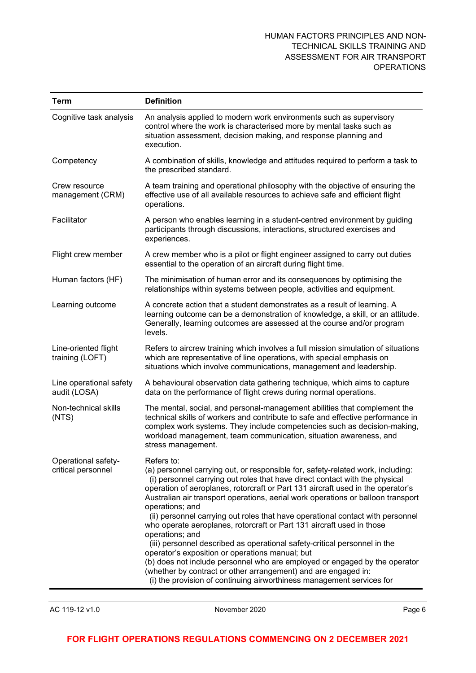| <b>Term</b>                               | <b>Definition</b>                                                                                                                                                                                                                                                                                                                                                                                                                                                                                                                                                                                                                                                                                                                                                                                                                                                                                             |
|-------------------------------------------|---------------------------------------------------------------------------------------------------------------------------------------------------------------------------------------------------------------------------------------------------------------------------------------------------------------------------------------------------------------------------------------------------------------------------------------------------------------------------------------------------------------------------------------------------------------------------------------------------------------------------------------------------------------------------------------------------------------------------------------------------------------------------------------------------------------------------------------------------------------------------------------------------------------|
| Cognitive task analysis                   | An analysis applied to modern work environments such as supervisory<br>control where the work is characterised more by mental tasks such as<br>situation assessment, decision making, and response planning and<br>execution.                                                                                                                                                                                                                                                                                                                                                                                                                                                                                                                                                                                                                                                                                 |
| Competency                                | A combination of skills, knowledge and attitudes required to perform a task to<br>the prescribed standard.                                                                                                                                                                                                                                                                                                                                                                                                                                                                                                                                                                                                                                                                                                                                                                                                    |
| Crew resource<br>management (CRM)         | A team training and operational philosophy with the objective of ensuring the<br>effective use of all available resources to achieve safe and efficient flight<br>operations.                                                                                                                                                                                                                                                                                                                                                                                                                                                                                                                                                                                                                                                                                                                                 |
| Facilitator                               | A person who enables learning in a student-centred environment by guiding<br>participants through discussions, interactions, structured exercises and<br>experiences.                                                                                                                                                                                                                                                                                                                                                                                                                                                                                                                                                                                                                                                                                                                                         |
| Flight crew member                        | A crew member who is a pilot or flight engineer assigned to carry out duties<br>essential to the operation of an aircraft during flight time.                                                                                                                                                                                                                                                                                                                                                                                                                                                                                                                                                                                                                                                                                                                                                                 |
| Human factors (HF)                        | The minimisation of human error and its consequences by optimising the<br>relationships within systems between people, activities and equipment.                                                                                                                                                                                                                                                                                                                                                                                                                                                                                                                                                                                                                                                                                                                                                              |
| Learning outcome                          | A concrete action that a student demonstrates as a result of learning. A<br>learning outcome can be a demonstration of knowledge, a skill, or an attitude.<br>Generally, learning outcomes are assessed at the course and/or program<br>levels.                                                                                                                                                                                                                                                                                                                                                                                                                                                                                                                                                                                                                                                               |
| Line-oriented flight<br>training (LOFT)   | Refers to aircrew training which involves a full mission simulation of situations<br>which are representative of line operations, with special emphasis on<br>situations which involve communications, management and leadership.                                                                                                                                                                                                                                                                                                                                                                                                                                                                                                                                                                                                                                                                             |
| Line operational safety<br>audit (LOSA)   | A behavioural observation data gathering technique, which aims to capture<br>data on the performance of flight crews during normal operations.                                                                                                                                                                                                                                                                                                                                                                                                                                                                                                                                                                                                                                                                                                                                                                |
| Non-technical skills<br>(NTS)             | The mental, social, and personal-management abilities that complement the<br>technical skills of workers and contribute to safe and effective performance in<br>complex work systems. They include competencies such as decision-making,<br>workload management, team communication, situation awareness, and<br>stress management.                                                                                                                                                                                                                                                                                                                                                                                                                                                                                                                                                                           |
| Operational safety-<br>critical personnel | Refers to:<br>(a) personnel carrying out, or responsible for, safety-related work, including:<br>(i) personnel carrying out roles that have direct contact with the physical<br>operation of aeroplanes, rotorcraft or Part 131 aircraft used in the operator's<br>Australian air transport operations, aerial work operations or balloon transport<br>operations; and<br>(ii) personnel carrying out roles that have operational contact with personnel<br>who operate aeroplanes, rotorcraft or Part 131 aircraft used in those<br>operations; and<br>(iii) personnel described as operational safety-critical personnel in the<br>operator's exposition or operations manual; but<br>(b) does not include personnel who are employed or engaged by the operator<br>(whether by contract or other arrangement) and are engaged in:<br>(i) the provision of continuing airworthiness management services for |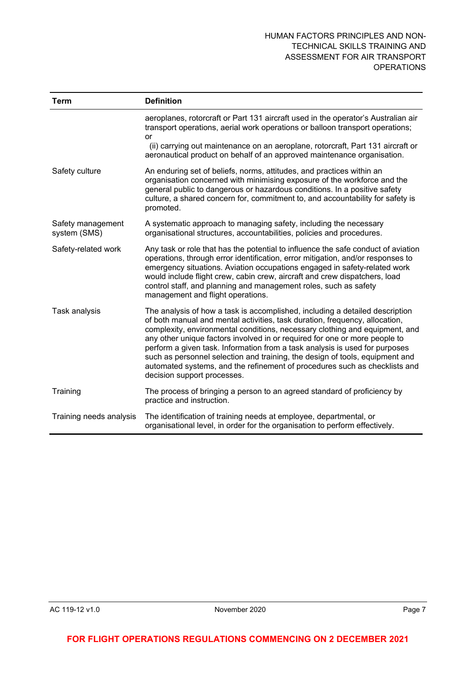<span id="page-7-0"></span>

| <b>Term</b>                       | <b>Definition</b>                                                                                                                                                                                                                                                                                                                                                                                                                                                                                                                                                                                    |
|-----------------------------------|------------------------------------------------------------------------------------------------------------------------------------------------------------------------------------------------------------------------------------------------------------------------------------------------------------------------------------------------------------------------------------------------------------------------------------------------------------------------------------------------------------------------------------------------------------------------------------------------------|
|                                   | aeroplanes, rotorcraft or Part 131 aircraft used in the operator's Australian air<br>transport operations, aerial work operations or balloon transport operations;<br>or<br>(ii) carrying out maintenance on an aeroplane, rotorcraft, Part 131 aircraft or<br>aeronautical product on behalf of an approved maintenance organisation.                                                                                                                                                                                                                                                               |
| Safety culture                    | An enduring set of beliefs, norms, attitudes, and practices within an<br>organisation concerned with minimising exposure of the workforce and the<br>general public to dangerous or hazardous conditions. In a positive safety<br>culture, a shared concern for, commitment to, and accountability for safety is<br>promoted.                                                                                                                                                                                                                                                                        |
| Safety management<br>system (SMS) | A systematic approach to managing safety, including the necessary<br>organisational structures, accountabilities, policies and procedures.                                                                                                                                                                                                                                                                                                                                                                                                                                                           |
| Safety-related work               | Any task or role that has the potential to influence the safe conduct of aviation<br>operations, through error identification, error mitigation, and/or responses to<br>emergency situations. Aviation occupations engaged in safety-related work<br>would include flight crew, cabin crew, aircraft and crew dispatchers, load<br>control staff, and planning and management roles, such as safety<br>management and flight operations.                                                                                                                                                             |
| Task analysis                     | The analysis of how a task is accomplished, including a detailed description<br>of both manual and mental activities, task duration, frequency, allocation,<br>complexity, environmental conditions, necessary clothing and equipment, and<br>any other unique factors involved in or required for one or more people to<br>perform a given task. Information from a task analysis is used for purposes<br>such as personnel selection and training, the design of tools, equipment and<br>automated systems, and the refinement of procedures such as checklists and<br>decision support processes. |
| Training                          | The process of bringing a person to an agreed standard of proficiency by<br>practice and instruction.                                                                                                                                                                                                                                                                                                                                                                                                                                                                                                |
| Training needs analysis           | The identification of training needs at employee, departmental, or<br>organisational level, in order for the organisation to perform effectively.                                                                                                                                                                                                                                                                                                                                                                                                                                                    |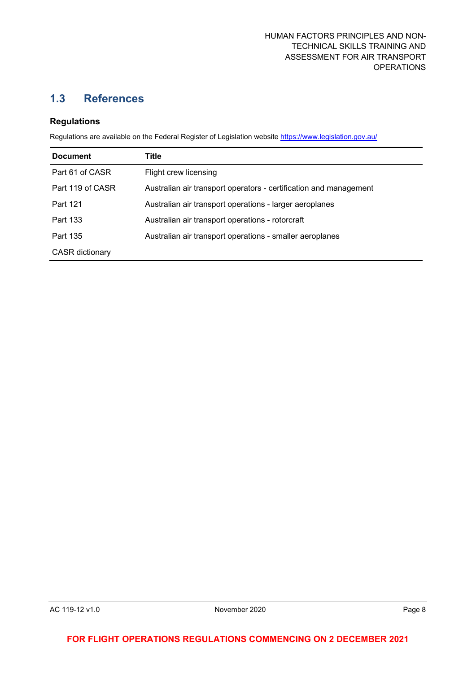## **1.3 References**

#### **Regulations**

Regulations are available on the Federal Register of Legislation website<https://www.legislation.gov.au/>

| <b>Document</b>        | Title                                                             |
|------------------------|-------------------------------------------------------------------|
| Part 61 of CASR        | Flight crew licensing                                             |
| Part 119 of CASR       | Australian air transport operators - certification and management |
| <b>Part 121</b>        | Australian air transport operations - larger aeroplanes           |
| Part 133               | Australian air transport operations - rotorcraft                  |
| Part 135               | Australian air transport operations - smaller aeroplanes          |
| <b>CASR</b> dictionary |                                                                   |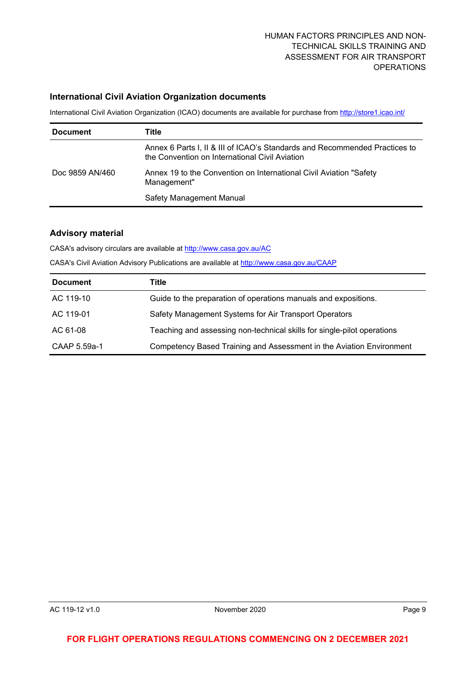#### **International Civil Aviation Organization documents**

International Civil Aviation Organization (ICAO) documents are available for purchase from<http://store1.icao.int/>

| <b>Document</b> | Title                                                                                                                        |
|-----------------|------------------------------------------------------------------------------------------------------------------------------|
|                 | Annex 6 Parts I, II & III of ICAO's Standards and Recommended Practices to<br>the Convention on International Civil Aviation |
| Doc 9859 AN/460 | Annex 19 to the Convention on International Civil Aviation "Safety"<br>Management"                                           |
|                 | Safety Management Manual                                                                                                     |

#### **Advisory material**

CASA's advisory circulars are available at [http://www.casa.gov.au/AC](http://www.casa.gov.au/ACs)

CASA's Civil Aviation Advisory Publications are available at [http://www.casa.gov.au/CAAP](http://www.casa.gov.au/CAAPs)

| <b>Document</b> | Гitle                                                                   |
|-----------------|-------------------------------------------------------------------------|
| AC 119-10       | Guide to the preparation of operations manuals and expositions.         |
| AC 119-01       | Safety Management Systems for Air Transport Operators                   |
| AC 61-08        | Teaching and assessing non-technical skills for single-pilot operations |
| CAAP 5.59a-1    | Competency Based Training and Assessment in the Aviation Environment    |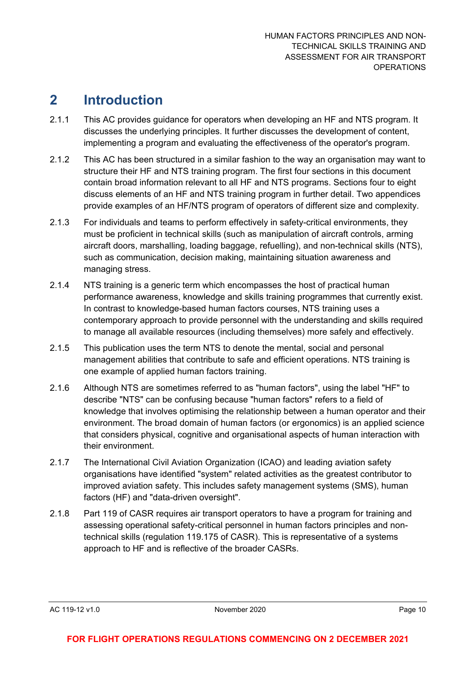## <span id="page-10-0"></span>**2 Introduction**

- 2.1.1 This AC provides guidance for operators when developing an HF and NTS program. It discusses the underlying principles. It further discusses the development of content, implementing a program and evaluating the effectiveness of the operator's program.
- 2.1.2 This AC has been structured in a similar fashion to the way an organisation may want to structure their HF and NTS training program. The first four sections in this document contain broad information relevant to all HF and NTS programs. Sections four to eight discuss elements of an HF and NTS training program in further detail. Two appendices provide examples of an HF/NTS program of operators of different size and complexity.
- 2.1.3 For individuals and teams to perform effectively in safety-critical environments, they must be proficient in technical skills (such as manipulation of aircraft controls, arming aircraft doors, marshalling, loading baggage, refuelling), and non-technical skills (NTS), such as communication, decision making, maintaining situation awareness and managing stress.
- 2.1.4 NTS training is a generic term which encompasses the host of practical human performance awareness, knowledge and skills training programmes that currently exist. In contrast to knowledge-based human factors courses, NTS training uses a contemporary approach to provide personnel with the understanding and skills required to manage all available resources (including themselves) more safely and effectively.
- 2.1.5 This publication uses the term NTS to denote the mental, social and personal management abilities that contribute to safe and efficient operations. NTS training is one example of applied human factors training.
- 2.1.6 Although NTS are sometimes referred to as "human factors", using the label "HF" to describe "NTS" can be confusing because "human factors" refers to a field of knowledge that involves optimising the relationship between a human operator and their environment. The broad domain of human factors (or ergonomics) is an applied science that considers physical, cognitive and organisational aspects of human interaction with their environment.
- 2.1.7 The International Civil Aviation Organization (ICAO) and leading aviation safety organisations have identified "system" related activities as the greatest contributor to improved aviation safety. This includes safety management systems (SMS), human factors (HF) and "data-driven oversight".
- 2.1.8 Part 119 of CASR requires air transport operators to have a program for training and assessing operational safety-critical personnel in human factors principles and nontechnical skills (regulation 119.175 of CASR). This is representative of a systems approach to HF and is reflective of the broader CASRs.

AC 119-12 v1.0 November 2020 Page 10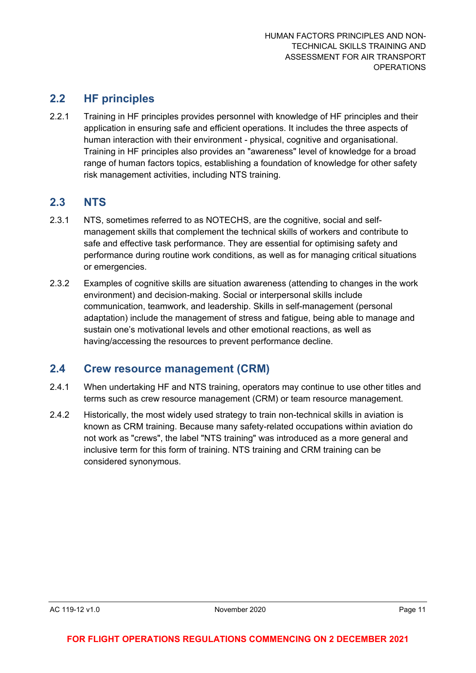## <span id="page-11-0"></span>**2.2 HF principles**

2.2.1 Training in HF principles provides personnel with knowledge of HF principles and their application in ensuring safe and efficient operations. It includes the three aspects of human interaction with their environment - physical, cognitive and organisational. Training in HF principles also provides an "awareness" level of knowledge for a broad range of human factors topics, establishing a foundation of knowledge for other safety risk management activities, including NTS training.

## <span id="page-11-1"></span>**2.3 NTS**

- 2.3.1 NTS, sometimes referred to as NOTECHS, are the cognitive, social and selfmanagement skills that complement the technical skills of workers and contribute to safe and effective task performance. They are essential for optimising safety and performance during routine work conditions, as well as for managing critical situations or emergencies.
- 2.3.2 Examples of cognitive skills are situation awareness (attending to changes in the work environment) and decision-making. Social or interpersonal skills include communication, teamwork, and leadership. Skills in self-management (personal adaptation) include the management of stress and fatigue, being able to manage and sustain one's motivational levels and other emotional reactions, as well as having/accessing the resources to prevent performance decline.

#### <span id="page-11-2"></span>**2.4 Crew resource management (CRM)**

- 2.4.1 When undertaking HF and NTS training, operators may continue to use other titles and terms such as crew resource management (CRM) or team resource management.
- 2.4.2 Historically, the most widely used strategy to train non-technical skills in aviation is known as CRM training. Because many safety-related occupations within aviation do not work as "crews", the label "NTS training" was introduced as a more general and inclusive term for this form of training. NTS training and CRM training can be considered synonymous.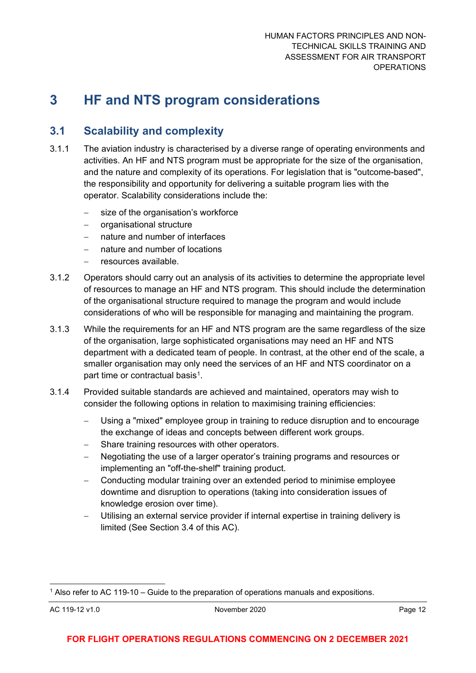## <span id="page-12-0"></span>**3 HF and NTS program considerations**

## <span id="page-12-1"></span>**3.1 Scalability and complexity**

- 3.1.1 The aviation industry is characterised by a diverse range of operating environments and activities. An HF and NTS program must be appropriate for the size of the organisation, and the nature and complexity of its operations. For legislation that is "outcome-based", the responsibility and opportunity for delivering a suitable program lies with the operator. Scalability considerations include the:
	- − size of the organisation's workforce
	- − organisational structure
	- − nature and number of interfaces
	- nature and number of locations
	- − resources available.
- 3.1.2 Operators should carry out an analysis of its activities to determine the appropriate level of resources to manage an HF and NTS program. This should include the determination of the organisational structure required to manage the program and would include considerations of who will be responsible for managing and maintaining the program.
- 3.1.3 While the requirements for an HF and NTS program are the same regardless of the size of the organisation, large sophisticated organisations may need an HF and NTS department with a dedicated team of people. In contrast, at the other end of the scale, a smaller organisation may only need the services of an HF and NTS coordinator on a part time or contractual basis<sup>1</sup>.
- 3.1.4 Provided suitable standards are achieved and maintained, operators may wish to consider the following options in relation to maximising training efficiencies:
	- Using a "mixed" employee group in training to reduce disruption and to encourage the exchange of ideas and concepts between different work groups.
	- Share training resources with other operators.
	- Negotiating the use of a larger operator's training programs and resources or implementing an "off-the-shelf" training product.
	- − Conducting modular training over an extended period to minimise employee downtime and disruption to operations (taking into consideration issues of knowledge erosion over time).
	- Utilising an external service provider if internal expertise in training delivery is limited (See Section 3.4 of this AC).

<span id="page-12-2"></span><sup>1</sup> Also refer to AC 119-10 – Guide to the preparation of operations manuals and expositions.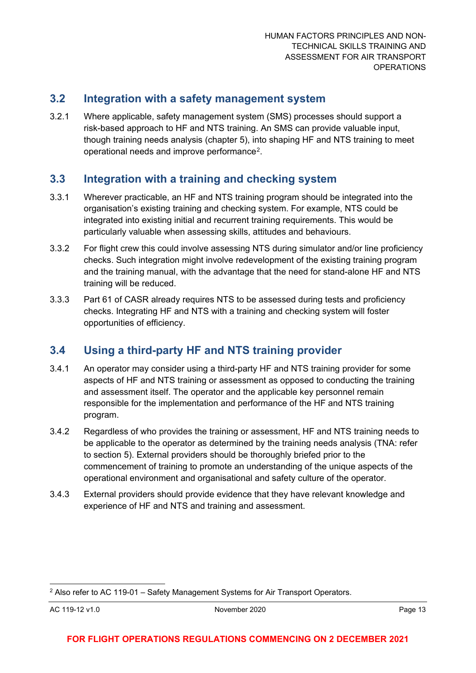#### <span id="page-13-0"></span>**3.2 Integration with a safety management system**

3.2.1 Where applicable, safety management system (SMS) processes should support a risk-based approach to HF and NTS training. An SMS can provide valuable input, though training needs analysis (chapter 5), into shaping HF and NTS training to meet operational needs and improve performance[2](#page-13-3).

## <span id="page-13-1"></span>**3.3 Integration with a training and checking system**

- 3.3.1 Wherever practicable, an HF and NTS training program should be integrated into the organisation's existing training and checking system. For example, NTS could be integrated into existing initial and recurrent training requirements. This would be particularly valuable when assessing skills, attitudes and behaviours.
- 3.3.2 For flight crew this could involve assessing NTS during simulator and/or line proficiency checks. Such integration might involve redevelopment of the existing training program and the training manual, with the advantage that the need for stand-alone HF and NTS training will be reduced.
- 3.3.3 Part 61 of CASR already requires NTS to be assessed during tests and proficiency checks. Integrating HF and NTS with a training and checking system will foster opportunities of efficiency.

#### <span id="page-13-2"></span>**3.4 Using a third-party HF and NTS training provider**

- 3.4.1 An operator may consider using a third-party HF and NTS training provider for some aspects of HF and NTS training or assessment as opposed to conducting the training and assessment itself. The operator and the applicable key personnel remain responsible for the implementation and performance of the HF and NTS training program.
- 3.4.2 Regardless of who provides the training or assessment, HF and NTS training needs to be applicable to the operator as determined by the training needs analysis (TNA: refer to section 5). External providers should be thoroughly briefed prior to the commencement of training to promote an understanding of the unique aspects of the operational environment and organisational and safety culture of the operator.
- 3.4.3 External providers should provide evidence that they have relevant knowledge and experience of HF and NTS and training and assessment.

<span id="page-13-3"></span><sup>&</sup>lt;sup>2</sup> Also refer to AC 119-01 – Safety Management Systems for Air Transport Operators.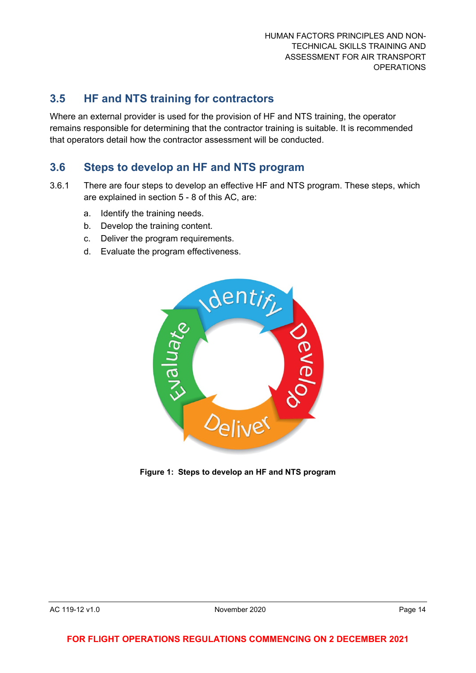#### <span id="page-14-0"></span>**3.5 HF and NTS training for contractors**

Where an external provider is used for the provision of HF and NTS training, the operator remains responsible for determining that the contractor training is suitable. It is recommended that operators detail how the contractor assessment will be conducted.

## <span id="page-14-1"></span>**3.6 Steps to develop an HF and NTS program**

- 3.6.1 There are four steps to develop an effective HF and NTS program. These steps, which are explained in section 5 - 8 of this AC, are:
	- a. Identify the training needs.
	- b. Develop the training content.
	- c. Deliver the program requirements.
	- d. Evaluate the program effectiveness.



**Figure 1: Steps to develop an HF and NTS program**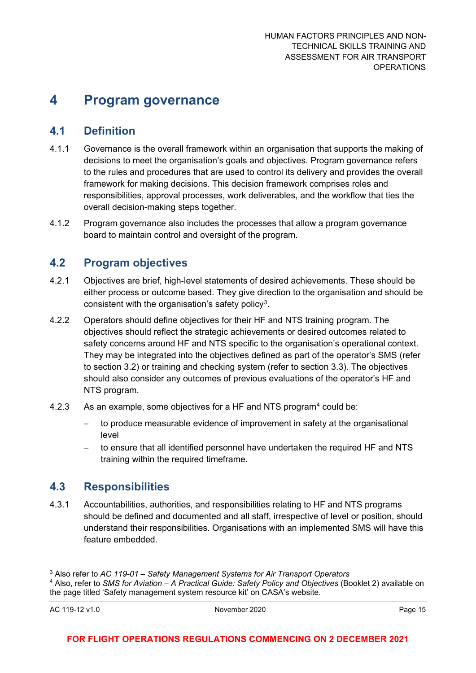## <span id="page-15-0"></span>**4 Program governance**

## <span id="page-15-1"></span>**4.1 Definition**

- 4.1.1 Governance is the overall framework within an organisation that supports the making of decisions to meet the organisation's goals and objectives. Program governance refers to the rules and procedures that are used to control its delivery and provides the overall framework for making decisions. This decision framework comprises roles and responsibilities, approval processes, work deliverables, and the workflow that ties the overall decision-making steps together.
- 4.1.2 Program governance also includes the processes that allow a program governance board to maintain control and oversight of the program.

## <span id="page-15-2"></span>**4.2 Program objectives**

- 4.2.1 Objectives are brief, high-level statements of desired achievements. These should be either process or outcome based. They give direction to the organisation and should be consistent with the organisation's safety policy<sup>[3](#page-15-4)</sup>.
- 4.2.2 Operators should define objectives for their HF and NTS training program. The objectives should reflect the strategic achievements or desired outcomes related to safety concerns around HF and NTS specific to the organisation's operational context. They may be integrated into the objectives defined as part of the operator's SMS (refer to section 3.2) or training and checking system (refer to section 3.3). The objectives should also consider any outcomes of previous evaluations of the operator's HF and NTS program.
- [4](#page-15-5).2.3 As an example, some objectives for a HF and NTS program<sup>4</sup> could be:
	- − to produce measurable evidence of improvement in safety at the organisational level
	- to ensure that all identified personnel have undertaken the required HF and NTS training within the required timeframe.

#### <span id="page-15-3"></span>**4.3 Responsibilities**

4.3.1 Accountabilities, authorities, and responsibilities relating to HF and NTS programs should be defined and documented and all staff, irrespective of level or position, should understand their responsibilities. Organisations with an implemented SMS will have this feature embedded.

<span id="page-15-4"></span><sup>3</sup> Also refer to *AC 119-01 – Safety Management Systems for Air Transport Operators*

<span id="page-15-5"></span><sup>4</sup> Also, refer to *SMS for Aviation – A Practical Guide: Safety Policy and Objectives* (Booklet 2) available on the page titled 'Safety management system resource kit' on CASA's website.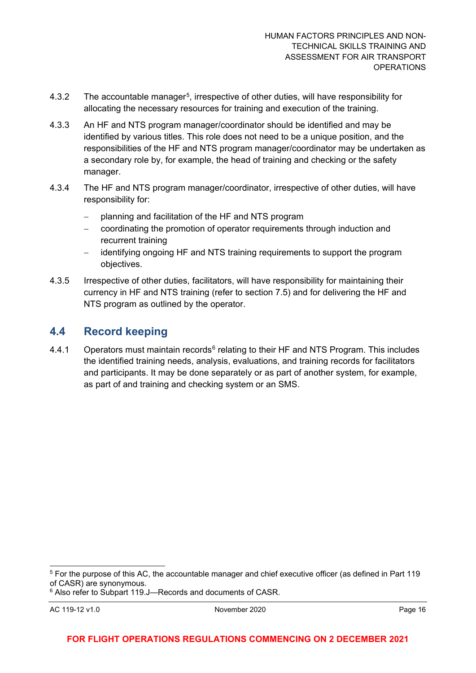- 4.3.2 The accountable manager<sup>[5](#page-16-1)</sup>, irrespective of other duties, will have responsibility for allocating the necessary resources for training and execution of the training.
- 4.3.3 An HF and NTS program manager/coordinator should be identified and may be identified by various titles. This role does not need to be a unique position, and the responsibilities of the HF and NTS program manager/coordinator may be undertaken as a secondary role by, for example, the head of training and checking or the safety manager.
- 4.3.4 The HF and NTS program manager/coordinator, irrespective of other duties, will have responsibility for:
	- − planning and facilitation of the HF and NTS program
	- − coordinating the promotion of operator requirements through induction and recurrent training
	- − identifying ongoing HF and NTS training requirements to support the program objectives.
- 4.3.5 Irrespective of other duties, facilitators, will have responsibility for maintaining their currency in HF and NTS training (refer to section 7.5) and for delivering the HF and NTS program as outlined by the operator.

## <span id="page-16-0"></span>**4.4 Record keeping**

4.4.1 Operators must maintain records<sup>[6](#page-16-2)</sup> relating to their HF and NTS Program. This includes the identified training needs, analysis, evaluations, and training records for facilitators and participants. It may be done separately or as part of another system, for example, as part of and training and checking system or an SMS.

<span id="page-16-1"></span><sup>5</sup> For the purpose of this AC, the accountable manager and chief executive officer (as defined in Part 119 of CASR) are synonymous.

<span id="page-16-2"></span><sup>6</sup> Also refer to Subpart 119.J—Records and documents of CASR.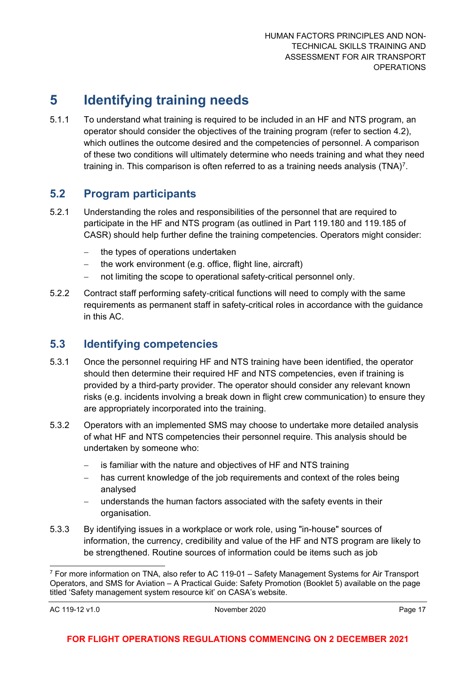# <span id="page-17-0"></span>**5 Identifying training needs**

5.1.1 To understand what training is required to be included in an HF and NTS program, an operator should consider the objectives of the training program (refer to section 4.2), which outlines the outcome desired and the competencies of personnel. A comparison of these two conditions will ultimately determine who needs training and what they need training in. This comparison is often referred to as a training needs analysis (TNA)[7](#page-17-3).

## <span id="page-17-1"></span>**5.2 Program participants**

- 5.2.1 Understanding the roles and responsibilities of the personnel that are required to participate in the HF and NTS program (as outlined in Part 119.180 and 119.185 of CASR) should help further define the training competencies. Operators might consider:
	- − the types of operations undertaken
	- − the work environment (e.g. office, flight line, aircraft)
	- not limiting the scope to operational safety-critical personnel only.
- 5.2.2 Contract staff performing safety‑critical functions will need to comply with the same requirements as permanent staff in safety-critical roles in accordance with the guidance in this AC.

## <span id="page-17-2"></span>**5.3 Identifying competencies**

- 5.3.1 Once the personnel requiring HF and NTS training have been identified, the operator should then determine their required HF and NTS competencies, even if training is provided by a third-party provider. The operator should consider any relevant known risks (e.g. incidents involving a break down in flight crew communication) to ensure they are appropriately incorporated into the training.
- 5.3.2 Operators with an implemented SMS may choose to undertake more detailed analysis of what HF and NTS competencies their personnel require. This analysis should be undertaken by someone who:
	- is familiar with the nature and objectives of HF and NTS training
	- − has current knowledge of the job requirements and context of the roles being analysed
	- understands the human factors associated with the safety events in their organisation.
- 5.3.3 By identifying issues in a workplace or work role, using "in-house" sources of information, the currency, credibility and value of the HF and NTS program are likely to be strengthened. Routine sources of information could be items such as job

<span id="page-17-3"></span> $7$  For more information on TNA, also refer to AC 119-01 – Safety Management Systems for Air Transport Operators, and SMS for Aviation – A Practical Guide: Safety Promotion (Booklet 5) available on the page titled 'Safety management system resource kit' on CASA's website.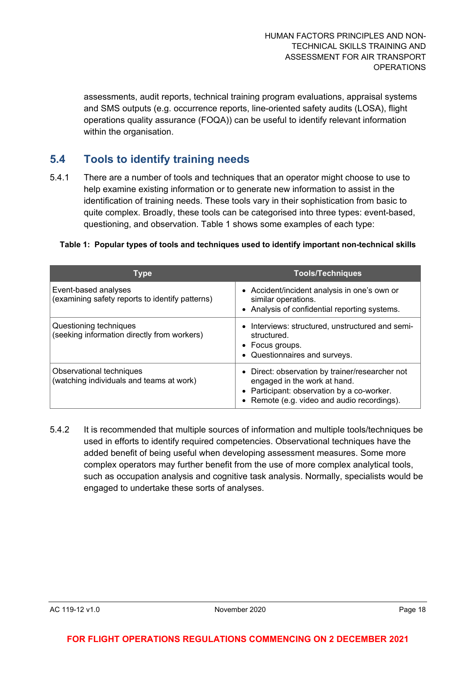assessments, audit reports, technical training program evaluations, appraisal systems and SMS outputs (e.g. occurrence reports, line-oriented safety audits (LOSA), flight operations quality assurance (FOQA)) can be useful to identify relevant information within the organisation.

## <span id="page-18-0"></span>**5.4 Tools to identify training needs**

5.4.1 There are a number of tools and techniques that an operator might choose to use to help examine existing information or to generate new information to assist in the identification of training needs. These tools vary in their sophistication from basic to quite complex. Broadly, these tools can be categorised into three types: event-based, questioning, and observation. Table 1 shows some examples of each type:

| <b>Type</b>                                                             | <b>Tools/Techniques</b>                                                                                                                                                    |
|-------------------------------------------------------------------------|----------------------------------------------------------------------------------------------------------------------------------------------------------------------------|
| Event-based analyses<br>(examining safety reports to identify patterns) | • Accident/incident analysis in one's own or<br>similar operations.<br>• Analysis of confidential reporting systems.                                                       |
| Questioning techniques<br>(seeking information directly from workers)   | Interviews: structured, unstructured and semi-<br>structured.<br>• Focus groups.<br>• Questionnaires and surveys.                                                          |
| Observational techniques<br>(watching individuals and teams at work)    | Direct: observation by trainer/researcher not<br>engaged in the work at hand.<br>• Participant: observation by a co-worker.<br>• Remote (e.g. video and audio recordings). |

**Table 1: Popular types of tools and techniques used to identify important non-technical skills**

5.4.2 It is recommended that multiple sources of information and multiple tools/techniques be used in efforts to identify required competencies. Observational techniques have the added benefit of being useful when developing assessment measures. Some more complex operators may further benefit from the use of more complex analytical tools, such as occupation analysis and cognitive task analysis. Normally, specialists would be engaged to undertake these sorts of analyses.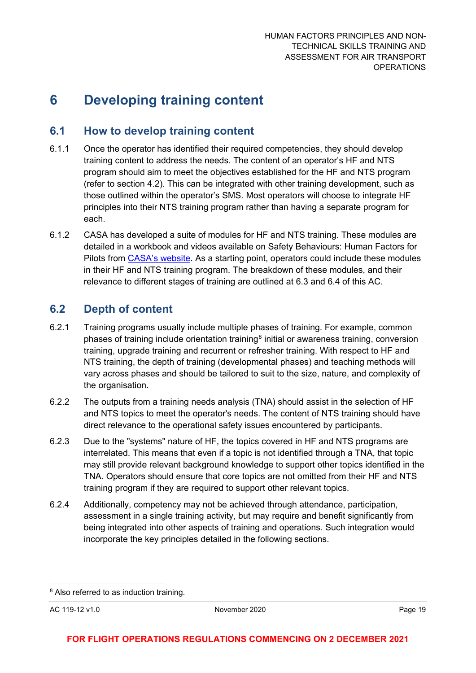# <span id="page-19-0"></span>**6 Developing training content**

## <span id="page-19-1"></span>**6.1 How to develop training content**

- 6.1.1 Once the operator has identified their required competencies, they should develop training content to address the needs. The content of an operator's HF and NTS program should aim to meet the objectives established for the HF and NTS program (refer to section 4.2). This can be integrated with other training development, such as those outlined within the operator's SMS. Most operators will choose to integrate HF principles into their NTS training program rather than having a separate program for each.
- 6.1.2 CASA has developed a suite of modules for HF and NTS training. These modules are detailed in a workbook and videos available on Safety Behaviours: Human Factors for Pilots from [CASA's website.](http://www.casa.gov.au/) As a starting point, operators could include these modules in their HF and NTS training program. The breakdown of these modules, and their relevance to different stages of training are outlined at 6.3 and 6.4 of this AC.

## <span id="page-19-2"></span>**6.2 Depth of content**

- 6.2.1 Training programs usually include multiple phases of training. For example, common phases of training include orientation training<sup>[8](#page-19-3)</sup> initial or awareness training, conversion training, upgrade training and recurrent or refresher training. With respect to HF and NTS training, the depth of training (developmental phases) and teaching methods will vary across phases and should be tailored to suit to the size, nature, and complexity of the organisation.
- 6.2.2 The outputs from a training needs analysis (TNA) should assist in the selection of HF and NTS topics to meet the operator's needs. The content of NTS training should have direct relevance to the operational safety issues encountered by participants.
- 6.2.3 Due to the "systems" nature of HF, the topics covered in HF and NTS programs are interrelated. This means that even if a topic is not identified through a TNA, that topic may still provide relevant background knowledge to support other topics identified in the TNA. Operators should ensure that core topics are not omitted from their HF and NTS training program if they are required to support other relevant topics.
- 6.2.4 Additionally, competency may not be achieved through attendance, participation, assessment in a single training activity, but may require and benefit significantly from being integrated into other aspects of training and operations. Such integration would incorporate the key principles detailed in the following sections.

<span id="page-19-3"></span><sup>&</sup>lt;sup>8</sup> Also referred to as induction training.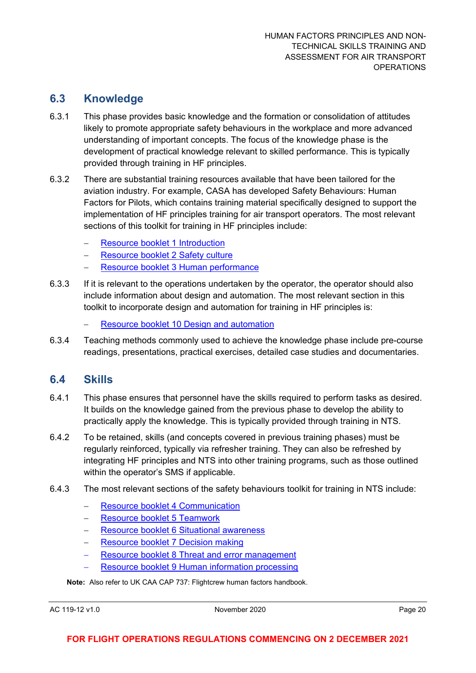## <span id="page-20-0"></span>**6.3 Knowledge**

- 6.3.1 This phase provides basic knowledge and the formation or consolidation of attitudes likely to promote appropriate safety behaviours in the workplace and more advanced understanding of important concepts. The focus of the knowledge phase is the development of practical knowledge relevant to skilled performance. This is typically provided through training in HF principles.
- 6.3.2 There are substantial training resources available that have been tailored for the aviation industry. For example, CASA has developed Safety Behaviours: Human Factors for Pilots, which contains training material specifically designed to support the implementation of HF principles training for air transport operators. The most relevant sections of this toolkit for training in HF principles include:
	- − [Resource booklet 1 Introduction](https://www.casa.gov.au/safety-management/book-page/safety-behaviours-human-factors-pilots-2nd-edition-resource-booklet-1-introduction)
	- − [Resource booklet 2 Safety culture](https://www.casa.gov.au/safety-management/book-page/safety-behaviours-human-factors-pilots-2nd-edition-resource-booklet-2-safety-culture)
	- − [Resource booklet 3 Human performance](https://www.casa.gov.au/book-page/safety-behaviours-human-factors-pilots-2nd-edition-resource-booklet-3-human-performance)
- 6.3.3 If it is relevant to the operations undertaken by the operator, the operator should also include information about design and automation. The most relevant section in this toolkit to incorporate design and automation for training in HF principles is:
	- − [Resource booklet 10 Design and automation](https://www.casa.gov.au/safety-management/book-page/safety-behaviours-human-factors-pilots-2nd-edition-resource-booklet-10-design-and-automation)
- 6.3.4 Teaching methods commonly used to achieve the knowledge phase include pre-course readings, presentations, practical exercises, detailed case studies and documentaries.

#### <span id="page-20-1"></span>**6.4 Skills**

- 6.4.1 This phase ensures that personnel have the skills required to perform tasks as desired. It builds on the knowledge gained from the previous phase to develop the ability to practically apply the knowledge. This is typically provided through training in NTS.
- 6.4.2 To be retained, skills (and concepts covered in previous training phases) must be regularly reinforced, typically via refresher training. They can also be refreshed by integrating HF principles and NTS into other training programs, such as those outlined within the operator's SMS if applicable.
- 6.4.3 The most relevant sections of the safety behaviours toolkit for training in NTS include:
	- − [Resource booklet 4 Communication](https://www.casa.gov.au/safety-management/book-page/safety-behaviours-human-factors-pilots-2nd-edition-resource-booklet-4-communication)
	- − [Resource booklet 5 Teamwork](https://www.casa.gov.au/safety-management/book-page/safety-behaviours-human-factors-pilots-2nd-edition-resource-booklet-5-teamwork)
	- − [Resource booklet 6 Situational awareness](https://www.casa.gov.au/safety-management/book-page/safety-behaviours-human-factors-pilots-2nd-edition-resource-booklet-6-situational-awareness)
	- − [Resource booklet 7 Decision making](https://www.casa.gov.au/safety-management/book-page/safety-behaviours-human-factors-pilots-2nd-edition-resource-booklet-7-decision-making)
	- [Resource booklet 8 Threat and error management](https://www.casa.gov.au/safety-management/book-page/resource-booklet-8-threat-and-error-management-and-video)
	- − Resource booklet 9 Human information processing

**Note:** Also refer to UK CAA CAP 737: Flightcrew human factors handbook.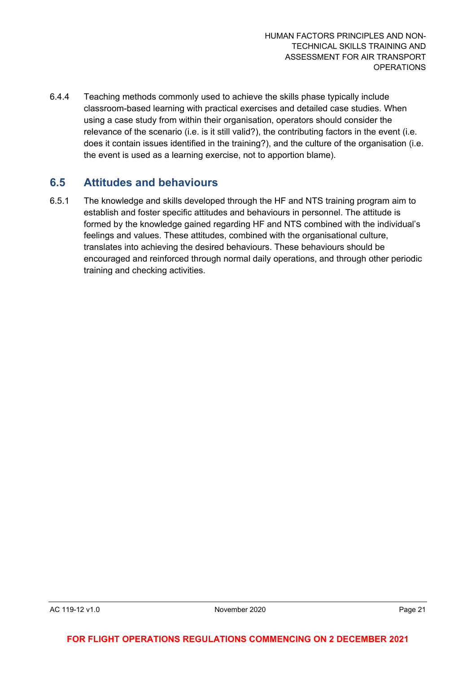6.4.4 Teaching methods commonly used to achieve the skills phase typically include classroom-based learning with practical exercises and detailed case studies. When using a case study from within their organisation, operators should consider the relevance of the scenario (i.e. is it still valid?), the contributing factors in the event (i.e. does it contain issues identified in the training?), and the culture of the organisation (i.e. the event is used as a learning exercise, not to apportion blame).

## <span id="page-21-0"></span>**6.5 Attitudes and behaviours**

6.5.1 The knowledge and skills developed through the HF and NTS training program aim to establish and foster specific attitudes and behaviours in personnel. The attitude is formed by the knowledge gained regarding HF and NTS combined with the individual's feelings and values. These attitudes, combined with the organisational culture, translates into achieving the desired behaviours. These behaviours should be encouraged and reinforced through normal daily operations, and through other periodic training and checking activities.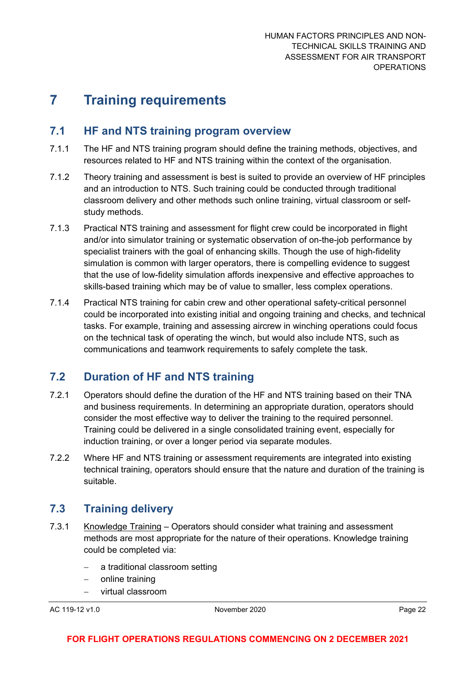# <span id="page-22-0"></span>**7 Training requirements**

#### <span id="page-22-1"></span>**7.1 HF and NTS training program overview**

- 7.1.1 The HF and NTS training program should define the training methods, objectives, and resources related to HF and NTS training within the context of the organisation.
- 7.1.2 Theory training and assessment is best is suited to provide an overview of HF principles and an introduction to NTS. Such training could be conducted through traditional classroom delivery and other methods such online training, virtual classroom or selfstudy methods.
- 7.1.3 Practical NTS training and assessment for flight crew could be incorporated in flight and/or into simulator training or systematic observation of on-the-job performance by specialist trainers with the goal of enhancing skills. Though the use of high-fidelity simulation is common with larger operators, there is compelling evidence to suggest that the use of low-fidelity simulation affords inexpensive and effective approaches to skills-based training which may be of value to smaller, less complex operations.
- 7.1.4 Practical NTS training for cabin crew and other operational safety-critical personnel could be incorporated into existing initial and ongoing training and checks, and technical tasks. For example, training and assessing aircrew in winching operations could focus on the technical task of operating the winch, but would also include NTS, such as communications and teamwork requirements to safely complete the task.

## <span id="page-22-2"></span>**7.2 Duration of HF and NTS training**

- 7.2.1 Operators should define the duration of the HF and NTS training based on their TNA and business requirements. In determining an appropriate duration, operators should consider the most effective way to deliver the training to the required personnel. Training could be delivered in a single consolidated training event, especially for induction training, or over a longer period via separate modules.
- 7.2.2 Where HF and NTS training or assessment requirements are integrated into existing technical training, operators should ensure that the nature and duration of the training is suitable.

## <span id="page-22-3"></span>**7.3 Training delivery**

- 7.3.1 Knowledge Training Operators should consider what training and assessment methods are most appropriate for the nature of their operations. Knowledge training could be completed via:
	- − a traditional classroom setting
	- − online training
	- virtual classroom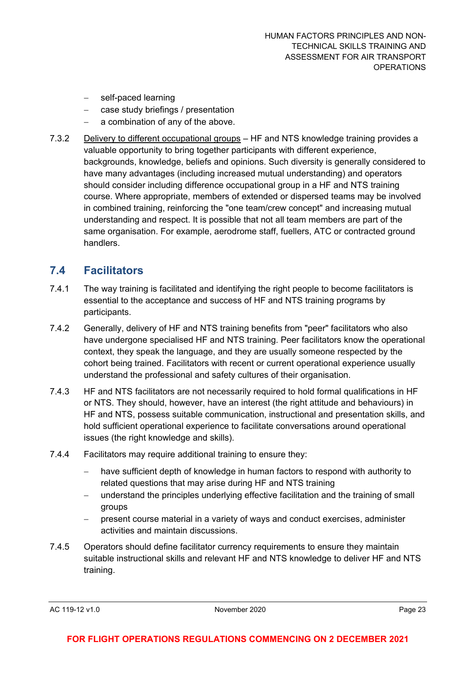- − self-paced learning
- − case study briefings / presentation
- − a combination of any of the above.
- 7.3.2 Delivery to different occupational groups HF and NTS knowledge training provides a valuable opportunity to bring together participants with different experience, backgrounds, knowledge, beliefs and opinions. Such diversity is generally considered to have many advantages (including increased mutual understanding) and operators should consider including difference occupational group in a HF and NTS training course. Where appropriate, members of extended or dispersed teams may be involved in combined training, reinforcing the "one team/crew concept" and increasing mutual understanding and respect. It is possible that not all team members are part of the same organisation. For example, aerodrome staff, fuellers, ATC or contracted ground handlers.

## <span id="page-23-0"></span>**7.4 Facilitators**

- 7.4.1 The way training is facilitated and identifying the right people to become facilitators is essential to the acceptance and success of HF and NTS training programs by participants.
- 7.4.2 Generally, delivery of HF and NTS training benefits from "peer" facilitators who also have undergone specialised HF and NTS training. Peer facilitators know the operational context, they speak the language, and they are usually someone respected by the cohort being trained. Facilitators with recent or current operational experience usually understand the professional and safety cultures of their organisation.
- 7.4.3 HF and NTS facilitators are not necessarily required to hold formal qualifications in HF or NTS. They should, however, have an interest (the right attitude and behaviours) in HF and NTS, possess suitable communication, instructional and presentation skills, and hold sufficient operational experience to facilitate conversations around operational issues (the right knowledge and skills).
- 7.4.4 Facilitators may require additional training to ensure they:
	- have sufficient depth of knowledge in human factors to respond with authority to related questions that may arise during HF and NTS training
	- − understand the principles underlying effective facilitation and the training of small groups
	- − present course material in a variety of ways and conduct exercises, administer activities and maintain discussions.
- 7.4.5 Operators should define facilitator currency requirements to ensure they maintain suitable instructional skills and relevant HF and NTS knowledge to deliver HF and NTS training.

AC 119-12 v1.0 November 2020 Page 23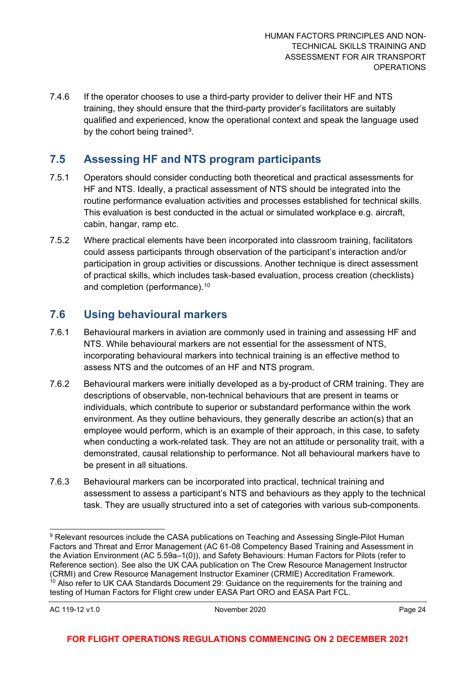7.4.6 If the operator chooses to use a third-party provider to deliver their HF and NTS training, they should ensure that the third-party provider's facilitators are suitably qualified and experienced, know the operational context and speak the language used by the cohort being trained<sup>9</sup>.

## <span id="page-24-0"></span>**7.5 Assessing HF and NTS program participants**

- 7.5.1 Operators should consider conducting both theoretical and practical assessments for HF and NTS. Ideally, a practical assessment of NTS should be integrated into the routine performance evaluation activities and processes established for technical skills. This evaluation is best conducted in the actual or simulated workplace e.g. aircraft, cabin, hangar, ramp etc.
- 7.5.2 Where practical elements have been incorporated into classroom training, facilitators could assess participants through observation of the participant's interaction and/or participation in group activities or discussions. Another technique is direct assessment of practical skills, which includes task-based evaluation, process creation (checklists) and completion (performance).<sup>[10](#page-24-3)</sup>

## <span id="page-24-1"></span>**7.6 Using behavioural markers**

- 7.6.1 Behavioural markers in aviation are commonly used in training and assessing HF and NTS. While behavioural markers are not essential for the assessment of NTS, incorporating behavioural markers into technical training is an effective method to assess NTS and the outcomes of an HF and NTS program.
- 7.6.2 Behavioural markers were initially developed as a by-product of CRM training. They are descriptions of observable, non-technical behaviours that are present in teams or individuals, which contribute to superior or substandard performance within the work environment. As they outline behaviours, they generally describe an action(s) that an employee would perform, which is an example of their approach, in this case, to safety when conducting a work-related task. They are not an attitude or personality trait, with a demonstrated, causal relationship to performance. Not all behavioural markers have to be present in all situations.
- 7.6.3 Behavioural markers can be incorporated into practical, technical training and assessment to assess a participant's NTS and behaviours as they apply to the technical task. They are usually structured into a set of categories with various sub-components.

<span id="page-24-3"></span><span id="page-24-2"></span><sup>9</sup> Relevant resources include the CASA publications on Teaching and Assessing Single-Pilot Human Factors and Threat and Error Management (AC 61-08 Competency Based Training and Assessment in the Aviation Environment (AC 5.59a–1(0)), and Safety Behaviours: Human Factors for Pilots (refer to Reference section). See also the UK CAA publication on The Crew Resource Management Instructor (CRMI) and Crew Resource Management Instructor Examiner (CRMIE) Accreditation Framework.  $^{10}$  Also refer to UK CAA Standards Document 29: Guidance on the requirements for the training and testing of Human Factors for Flight crew under EASA Part ORO and EASA Part FCL.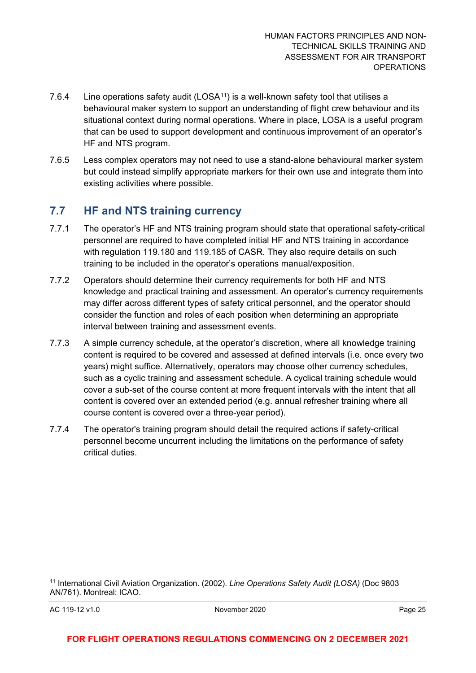- 7.6.4 Line operations safety audit (LOSA $11$ ) is a well-known safety tool that utilises a behavioural maker system to support an understanding of flight crew behaviour and its situational context during normal operations. Where in place, LOSA is a useful program that can be used to support development and continuous improvement of an operator's HF and NTS program.
- 7.6.5 Less complex operators may not need to use a stand-alone behavioural marker system but could instead simplify appropriate markers for their own use and integrate them into existing activities where possible.

## <span id="page-25-0"></span>**7.7 HF and NTS training currency**

- 7.7.1 The operator's HF and NTS training program should state that operational safety-critical personnel are required to have completed initial HF and NTS training in accordance with regulation 119.180 and 119.185 of CASR. They also require details on such training to be included in the operator's operations manual/exposition.
- 7.7.2 Operators should determine their currency requirements for both HF and NTS knowledge and practical training and assessment. An operator's currency requirements may differ across different types of safety critical personnel, and the operator should consider the function and roles of each position when determining an appropriate interval between training and assessment events.
- 7.7.3 A simple currency schedule, at the operator's discretion, where all knowledge training content is required to be covered and assessed at defined intervals (i.e. once every two years) might suffice. Alternatively, operators may choose other currency schedules, such as a cyclic training and assessment schedule. A cyclical training schedule would cover a sub-set of the course content at more frequent intervals with the intent that all content is covered over an extended period (e.g. annual refresher training where all course content is covered over a three-year period).
- 7.7.4 The operator's training program should detail the required actions if safety-critical personnel become uncurrent including the limitations on the performance of safety critical duties.

<span id="page-25-1"></span><sup>11</sup> International Civil Aviation Organization. (2002). *Line Operations Safety Audit (LOSA)* (Doc 9803 AN/761). Montreal: ICAO.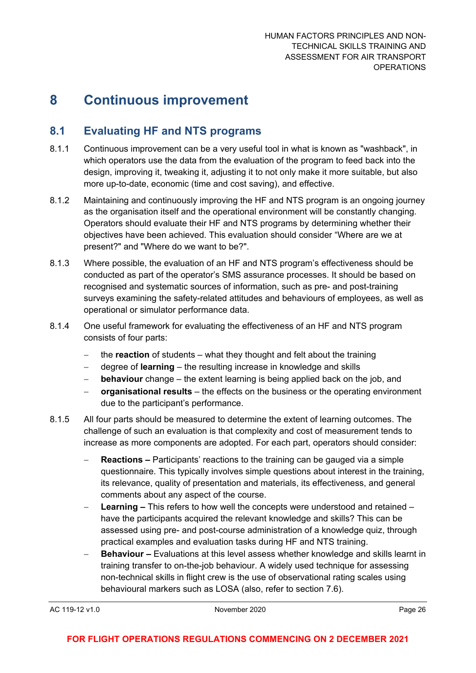## <span id="page-26-0"></span>**8 Continuous improvement**

## <span id="page-26-1"></span>**8.1 Evaluating HF and NTS programs**

- 8.1.1 Continuous improvement can be a very useful tool in what is known as "washback", in which operators use the data from the evaluation of the program to feed back into the design, improving it, tweaking it, adjusting it to not only make it more suitable, but also more up-to-date, economic (time and cost saving), and effective.
- 8.1.2 Maintaining and continuously improving the HF and NTS program is an ongoing journey as the organisation itself and the operational environment will be constantly changing. Operators should evaluate their HF and NTS programs by determining whether their objectives have been achieved. This evaluation should consider "Where are we at present?" and "Where do we want to be?".
- 8.1.3 Where possible, the evaluation of an HF and NTS program's effectiveness should be conducted as part of the operator's SMS assurance processes. It should be based on recognised and systematic sources of information, such as pre- and post-training surveys examining the safety-related attitudes and behaviours of employees, as well as operational or simulator performance data.
- 8.1.4 One useful framework for evaluating the effectiveness of an HF and NTS program consists of four parts:
	- the **reaction** of students what they thought and felt about the training
	- − degree of **learning** the resulting increase in knowledge and skills
	- **behaviour** change the extent learning is being applied back on the job, and
	- − **organisational results** the effects on the business or the operating environment due to the participant's performance.
- 8.1.5 All four parts should be measured to determine the extent of learning outcomes. The challenge of such an evaluation is that complexity and cost of measurement tends to increase as more components are adopted. For each part, operators should consider:
	- − **Reactions –** Participants' reactions to the training can be gauged via a simple questionnaire. This typically involves simple questions about interest in the training, its relevance, quality of presentation and materials, its effectiveness, and general comments about any aspect of the course.
	- − **Learning –** This refers to how well the concepts were understood and retained have the participants acquired the relevant knowledge and skills? This can be assessed using pre- and post-course administration of a knowledge quiz, through practical examples and evaluation tasks during HF and NTS training.
	- − **Behaviour –** Evaluations at this level assess whether knowledge and skills learnt in training transfer to on-the-job behaviour. A widely used technique for assessing non-technical skills in flight crew is the use of observational rating scales using behavioural markers such as LOSA (also, refer to section 7.6).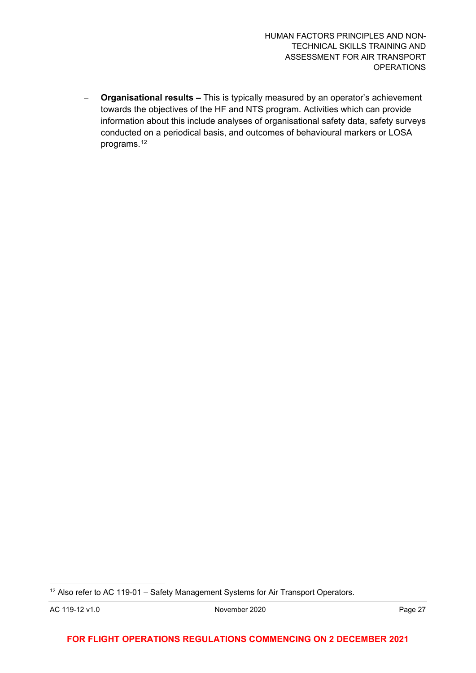− **Organisational results –** This is typically measured by an operator's achievement towards the objectives of the HF and NTS program. Activities which can provide information about this include analyses of organisational safety data, safety surveys conducted on a periodical basis, and outcomes of behavioural markers or LOSA programs.[12](#page-27-0)

<span id="page-27-0"></span><sup>&</sup>lt;sup>12</sup> Also refer to AC 119-01 – Safety Management Systems for Air Transport Operators.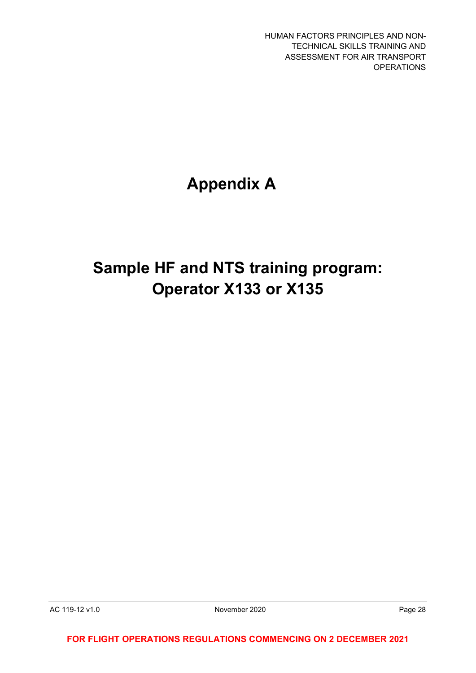HUMAN FACTORS PRINCIPLES AND NON-TECHNICAL SKILLS TRAINING AND ASSESSMENT FOR AIR TRANSPORT **OPERATIONS** 

# **Appendix A**

# **Sample HF and NTS training program: Operator X133 or X135**

AC 119-12 v1.0 November 2020 Page 28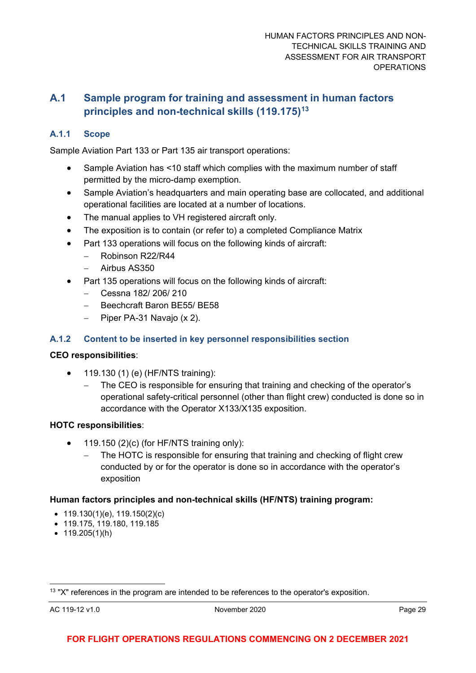## **A.1 Sample program for training and assessment in human factors principles and non-technical skills (119.175)[13](#page-29-0)**

#### **A.1.1 Scope**

Sample Aviation Part 133 or Part 135 air transport operations:

- Sample Aviation has <10 staff which complies with the maximum number of staff permitted by the micro-damp exemption.
- Sample Aviation's headquarters and main operating base are collocated, and additional operational facilities are located at a number of locations.
- The manual applies to VH registered aircraft only.
- The exposition is to contain (or refer to) a completed Compliance Matrix
- Part 133 operations will focus on the following kinds of aircraft:
	- − Robinson R22/R44
	- − Airbus AS350
- Part 135 operations will focus on the following kinds of aircraft:
	- − Cessna 182/ 206/ 210
	- − Beechcraft Baron BE55/ BE58
	- − Piper PA-31 Navajo (x 2).

#### **A.1.2 Content to be inserted in key personnel responsibilities section**

#### **CEO responsibilities**:

- 119.130 (1) (e) (HF/NTS training):
	- The CEO is responsible for ensuring that training and checking of the operator's operational safety-critical personnel (other than flight crew) conducted is done so in accordance with the Operator X133/X135 exposition.

#### **HOTC responsibilities**:

- 119.150 (2)(c) (for HF/NTS training only):
	- The HOTC is responsible for ensuring that training and checking of flight crew conducted by or for the operator is done so in accordance with the operator's exposition

#### **Human factors principles and non-technical skills (HF/NTS) training program:**

- $119.130(1)(e)$ ,  $119.150(2)(c)$
- 119.175, 119.180, 119.185
- $119.205(1)(h)$

<span id="page-29-0"></span> $13$  "X" references in the program are intended to be references to the operator's exposition.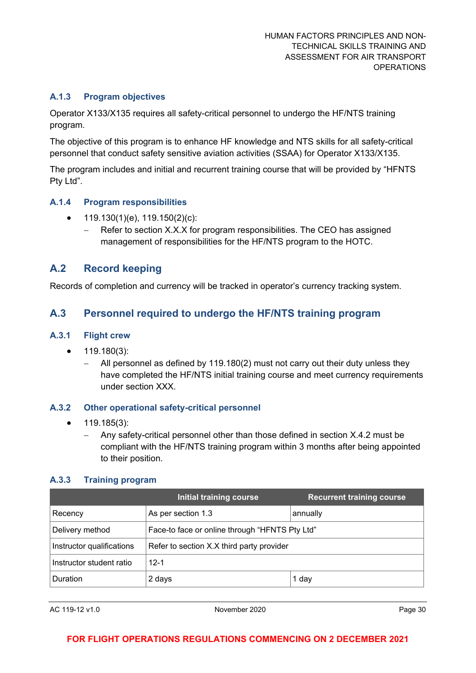#### **A.1.3 Program objectives**

Operator X133/X135 requires all safety-critical personnel to undergo the HF/NTS training program.

The objective of this program is to enhance HF knowledge and NTS skills for all safety-critical personnel that conduct safety sensitive aviation activities (SSAA) for Operator X133/X135.

The program includes and initial and recurrent training course that will be provided by "HFNTS Pty Ltd".

#### **A.1.4 Program responsibilities**

- $119.130(1)(e)$ ,  $119.150(2)(c)$ :
	- − Refer to section X.X.X for program responsibilities. The CEO has assigned management of responsibilities for the HF/NTS program to the HOTC.

#### **A.2 Record keeping**

Records of completion and currency will be tracked in operator's currency tracking system.

#### **A.3 Personnel required to undergo the HF/NTS training program**

#### **A.3.1 Flight crew**

- $119.180(3)$ :
	- − All personnel as defined by 119.180(2) must not carry out their duty unless they have completed the HF/NTS initial training course and meet currency requirements under section XXX.

#### **A.3.2 Other operational safety-critical personnel**

- 119.185(3):
	- − Any safety-critical personnel other than those defined in section X.4.2 must be compliant with the HF/NTS training program within 3 months after being appointed to their position.

#### **A.3.3 Training program**

|                           | Initial training course                        | <b>Recurrent training course</b> |  |
|---------------------------|------------------------------------------------|----------------------------------|--|
| Recency                   | As per section 1.3                             | annually                         |  |
| Delivery method           | Face-to face or online through "HFNTS Pty Ltd" |                                  |  |
| Instructor qualifications | Refer to section X.X third party provider      |                                  |  |
| Instructor student ratio  | $12 - 1$                                       |                                  |  |
| Duration                  | 2 days                                         | 1 day                            |  |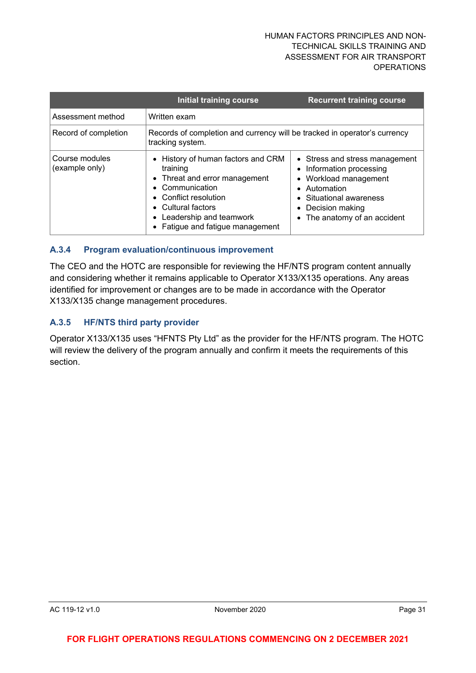#### HUMAN FACTORS PRINCIPLES AND NON-TECHNICAL SKILLS TRAINING AND ASSESSMENT FOR AIR TRANSPORT **OPERATIONS**

|                                  | Initial training course                                                                                                                                                                                          | <b>Recurrent training course</b>                                                                                                                                                    |
|----------------------------------|------------------------------------------------------------------------------------------------------------------------------------------------------------------------------------------------------------------|-------------------------------------------------------------------------------------------------------------------------------------------------------------------------------------|
| Assessment method                | Written exam                                                                                                                                                                                                     |                                                                                                                                                                                     |
| Record of completion             | Records of completion and currency will be tracked in operator's currency<br>tracking system.                                                                                                                    |                                                                                                                                                                                     |
| Course modules<br>(example only) | • History of human factors and CRM<br>training<br>• Threat and error management<br>Communication<br>• Conflict resolution<br>• Cultural factors<br>• Leadership and teamwork<br>• Fatigue and fatigue management | • Stress and stress management<br>• Information processing<br>• Workload management<br>• Automation<br>• Situational awareness<br>• Decision making<br>• The anatomy of an accident |

#### **A.3.4 Program evaluation/continuous improvement**

The CEO and the HOTC are responsible for reviewing the HF/NTS program content annually and considering whether it remains applicable to Operator X133/X135 operations. Any areas identified for improvement or changes are to be made in accordance with the Operator X133/X135 change management procedures.

#### **A.3.5 HF/NTS third party provider**

Operator X133/X135 uses "HFNTS Pty Ltd" as the provider for the HF/NTS program. The HOTC will review the delivery of the program annually and confirm it meets the requirements of this section.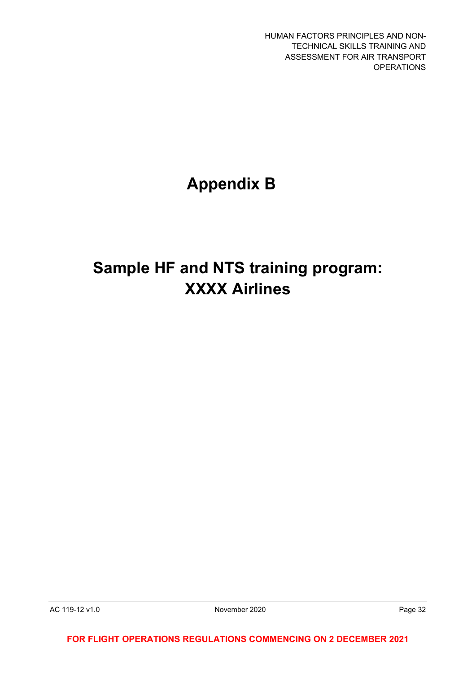HUMAN FACTORS PRINCIPLES AND NON-TECHNICAL SKILLS TRAINING AND ASSESSMENT FOR AIR TRANSPORT **OPERATIONS** 

# **Appendix B**

# **Sample HF and NTS training program: XXXX Airlines**

AC 119-12 v1.0 Page 32